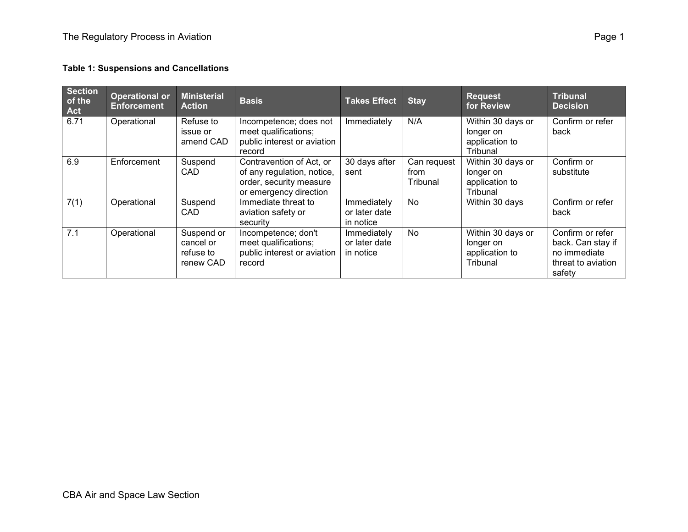## **Table 1: Suspensions and Cancellations**

| <b>Section</b><br>of the<br><b>Act</b> | <b>Operational or</b><br><b>Enforcement</b> | <b>Ministerial</b><br><b>Action</b>               | <b>Basis</b>                                                                                                | <b>Takes Effect</b>                       | <b>Stay</b>                     | <b>Request</b><br>for Review                                 | <b>Tribunal</b><br><b>Decision</b>                                                    |
|----------------------------------------|---------------------------------------------|---------------------------------------------------|-------------------------------------------------------------------------------------------------------------|-------------------------------------------|---------------------------------|--------------------------------------------------------------|---------------------------------------------------------------------------------------|
| 6.71                                   | Operational                                 | Refuse to<br>issue or<br>amend CAD                | Incompetence; does not<br>meet qualifications;<br>public interest or aviation<br>record                     | Immediately                               | N/A                             | Within 30 days or<br>longer on<br>application to<br>Tribunal | Confirm or refer<br>back                                                              |
| 6.9                                    | Enforcement                                 | Suspend<br>CAD                                    | Contravention of Act, or<br>of any regulation, notice,<br>order, security measure<br>or emergency direction | 30 days after<br>sent                     | Can request<br>from<br>Tribunal | Within 30 days or<br>longer on<br>application to<br>Tribunal | Confirm or<br>substitute                                                              |
| 7(1)                                   | Operational                                 | Suspend<br>CAD                                    | Immediate threat to<br>aviation safety or<br>security                                                       | Immediately<br>or later date<br>in notice | <b>No</b>                       | Within 30 days                                               | Confirm or refer<br>back                                                              |
| 7.1                                    | Operational                                 | Suspend or<br>cancel or<br>refuse to<br>renew CAD | Incompetence; don't<br>meet qualifications;<br>public interest or aviation<br>record                        | Immediately<br>or later date<br>in notice | <b>No</b>                       | Within 30 days or<br>longer on<br>application to<br>Tribunal | Confirm or refer<br>back. Can stay if<br>no immediate<br>threat to aviation<br>safety |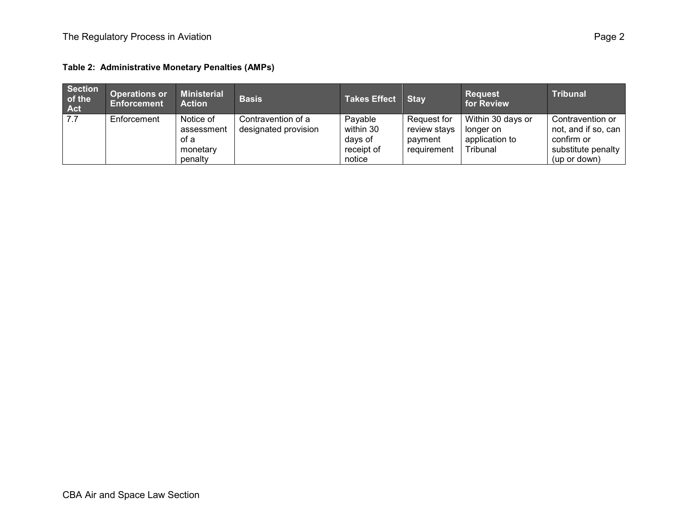|  | Table 2: Administrative Monetary Penalties (AMPs) |  |  |  |
|--|---------------------------------------------------|--|--|--|
|--|---------------------------------------------------|--|--|--|

| <b>Section</b><br>of the<br>Act | <b>Operations or</b><br><b>Enforcement</b> | <b>Ministerial</b><br><b>Action</b>                    | <b>Basis</b>                               | Takes Effect Stay                                       |                                                       | <b>Request</b><br>for Review                                 | <b>Tribunal</b>                                                                             |
|---------------------------------|--------------------------------------------|--------------------------------------------------------|--------------------------------------------|---------------------------------------------------------|-------------------------------------------------------|--------------------------------------------------------------|---------------------------------------------------------------------------------------------|
| 7.7                             | Enforcement                                | Notice of<br>assessment<br>of a<br>monetary<br>penalty | Contravention of a<br>designated provision | Payable<br>within 30<br>days of<br>receipt of<br>notice | Request for<br>review stays<br>payment<br>requirement | Within 30 days or<br>longer on<br>application to<br>Tribunal | Contravention or<br>not, and if so, can<br>confirm or<br>substitute penalty<br>(up or down) |